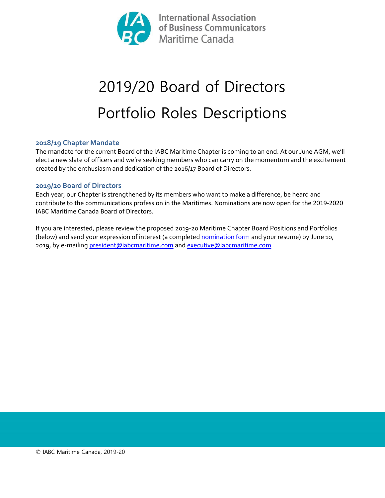

# 2019/20 Board of Directors Portfolio Roles Descriptions

## 2018/19 Chapter Mandate

The mandate for the current Board of the IABC Maritime Chapter is coming to an end. At our June AGM, we'll elect a new slate of officers and we're seeking members who can carry on the momentum and the excitement created by the enthusiasm and dedication of the 2016/17 Board of Directors.

#### 2019/20 Board of Directors

Each year, our Chapter is strengthened by its members who want to make a difference, be heard and contribute to the communications profession in the Maritimes. Nominations are now open for the 2019-2020 IABC Maritime Canada Board of Directors.

If you are interested, please review the proposed 2019-20 Maritime Chapter Board Positions and Portfolios (below) and send your expression of interest (a completed nomination form and your resume) by June 10, 2019, by e-mailing president@iabcmaritime.com and executive@iabcmaritime.com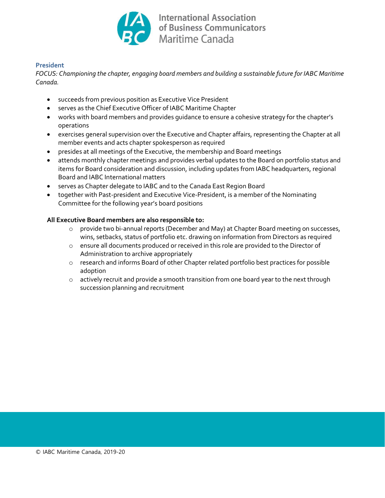

#### President

FOCUS: Championing the chapter, engaging board members and building a sustainable future for IABC Maritime Canada.

- succeeds from previous position as Executive Vice President
- serves as the Chief Executive Officer of IABC Maritime Chapter
- works with board members and provides guidance to ensure a cohesive strategy for the chapter's operations
- exercises general supervision over the Executive and Chapter affairs, representing the Chapter at all member events and acts chapter spokesperson as required
- presides at all meetings of the Executive, the membership and Board meetings
- attends monthly chapter meetings and provides verbal updates to the Board on portfolio status and items for Board consideration and discussion, including updates from IABC headquarters, regional Board and IABC International matters
- serves as Chapter delegate to IABC and to the Canada East Region Board
- together with Past-president and Executive Vice-President, is a member of the Nominating Committee for the following year's board positions

- o provide two bi-annual reports (December and May) at Chapter Board meeting on successes, wins, setbacks, status of portfolio etc. drawing on information from Directors as required
- o ensure all documents produced or received in this role are provided to the Director of Administration to archive appropriately
- o research and informs Board of other Chapter related portfolio best practices for possible adoption
- $\circ$  actively recruit and provide a smooth transition from one board year to the next through succession planning and recruitment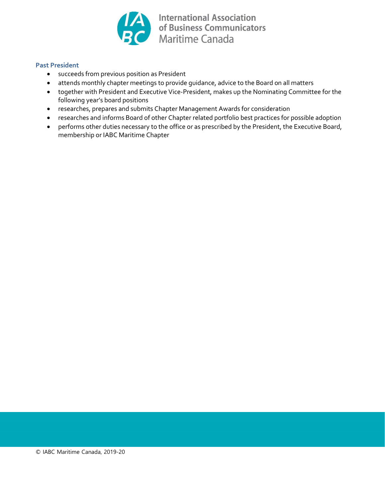

#### Past President

- succeeds from previous position as President
- attends monthly chapter meetings to provide guidance, advice to the Board on all matters
- together with President and Executive Vice-President, makes up the Nominating Committee for the following year's board positions
- researches, prepares and submits Chapter Management Awards for consideration
- researches and informs Board of other Chapter related portfolio best practices for possible adoption
- performs other duties necessary to the office or as prescribed by the President, the Executive Board, membership or IABC Maritime Chapter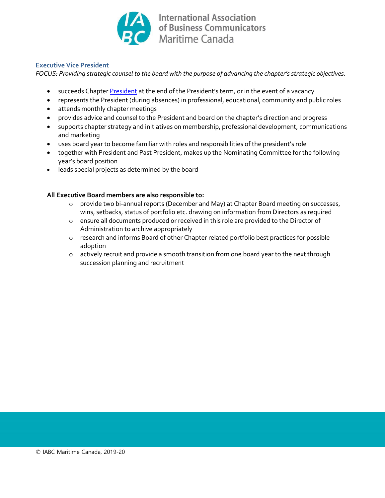

#### Executive Vice President

FOCUS: Providing strategic counsel to the board with the purpose of advancing the chapter's strategic objectives.

- succeeds Chapter President at the end of the President's term, or in the event of a vacancy
- represents the President (during absences) in professional, educational, community and public roles
- attends monthly chapter meetings
- provides advice and counsel to the President and board on the chapter's direction and progress
- supports chapter strategy and initiatives on membership, professional development, communications and marketing
- uses board year to become familiar with roles and responsibilities of the president's role
- together with President and Past President, makes up the Nominating Committee for the following year's board position
- leads special projects as determined by the board

- o provide two bi-annual reports (December and May) at Chapter Board meeting on successes, wins, setbacks, status of portfolio etc. drawing on information from Directors as required
- o ensure all documents produced or received in this role are provided to the Director of Administration to archive appropriately
- o research and informs Board of other Chapter related portfolio best practices for possible adoption
- o actively recruit and provide a smooth transition from one board year to the next through succession planning and recruitment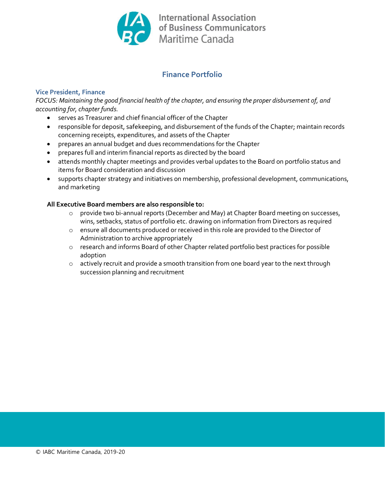

# Finance Portfolio

## Vice President, Finance

FOCUS: Maintaining the good financial health of the chapter, and ensuring the proper disbursement of, and accounting for, chapter funds.

- serves as Treasurer and chief financial officer of the Chapter
- responsible for deposit, safekeeping, and disbursement of the funds of the Chapter; maintain records concerning receipts, expenditures, and assets of the Chapter
- prepares an annual budget and dues recommendations for the Chapter
- prepares full and interim financial reports as directed by the board
- attends monthly chapter meetings and provides verbal updates to the Board on portfolio status and items for Board consideration and discussion
- supports chapter strategy and initiatives on membership, professional development, communications, and marketing

- o provide two bi-annual reports (December and May) at Chapter Board meeting on successes, wins, setbacks, status of portfolio etc. drawing on information from Directors as required
- o ensure all documents produced or received in this role are provided to the Director of Administration to archive appropriately
- o research and informs Board of other Chapter related portfolio best practices for possible adoption
- o actively recruit and provide a smooth transition from one board year to the next through succession planning and recruitment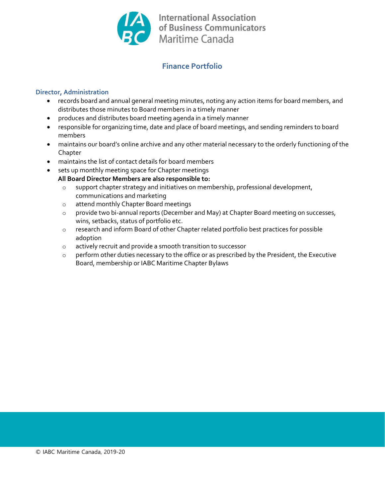

# Finance Portfolio

#### Director, Administration

- records board and annual general meeting minutes, noting any action items for board members, and distributes those minutes to Board members in a timely manner
- produces and distributes board meeting agenda in a timely manner
- responsible for organizing time, date and place of board meetings, and sending reminders to board members
- maintains our board's online archive and any other material necessary to the orderly functioning of the Chapter
- maintains the list of contact details for board members
- sets up monthly meeting space for Chapter meetings
	- All Board Director Members are also responsible to:
		- o support chapter strategy and initiatives on membership, professional development, communications and marketing
		- o attend monthly Chapter Board meetings
		- o provide two bi-annual reports (December and May) at Chapter Board meeting on successes, wins, setbacks, status of portfolio etc.
		- o research and inform Board of other Chapter related portfolio best practices for possible adoption
		- o actively recruit and provide a smooth transition to successor
		- o perform other duties necessary to the office or as prescribed by the President, the Executive Board, membership or IABC Maritime Chapter Bylaws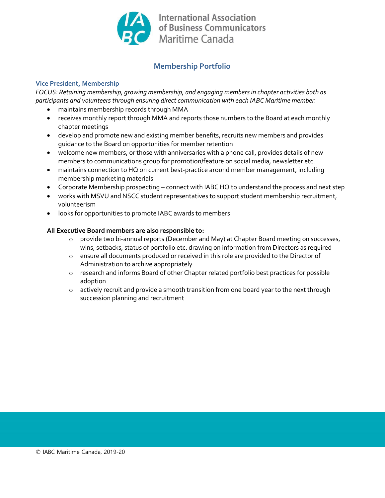

## Membership Portfolio

## Vice President, Membership

FOCUS: Retaining membership, growing membership, and engaging members in chapter activities both as participants and volunteers through ensuring direct communication with each IABC Maritime member.

- maintains membership records through MMA
- receives monthly report through MMA and reports those numbers to the Board at each monthly chapter meetings
- develop and promote new and existing member benefits, recruits new members and provides guidance to the Board on opportunities for member retention
- welcome new members, or those with anniversaries with a phone call, provides details of new members to communications group for promotion/feature on social media, newsletter etc.
- maintains connection to HQ on current best-practice around member management, including membership marketing materials
- Corporate Membership prospecting connect with IABC HQ to understand the process and next step
- works with MSVU and NSCC student representatives to support student membership recruitment, volunteerism
- looks for opportunities to promote IABC awards to members

- o provide two bi-annual reports (December and May) at Chapter Board meeting on successes, wins, setbacks, status of portfolio etc. drawing on information from Directors as required
- o ensure all documents produced or received in this role are provided to the Director of Administration to archive appropriately
- o research and informs Board of other Chapter related portfolio best practices for possible adoption
- $\circ$  actively recruit and provide a smooth transition from one board year to the next through succession planning and recruitment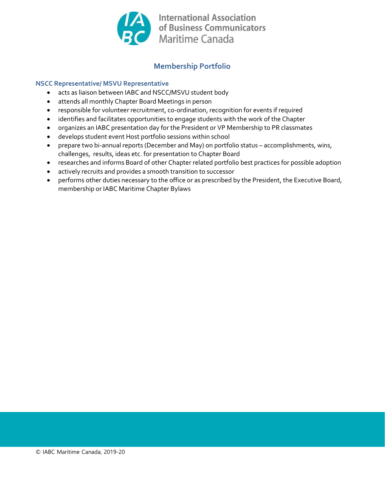

## Membership Portfolio

## NSCC Representative/ MSVU Representative

- acts as liaison between IABC and NSCC/MSVU student body
- attends all monthly Chapter Board Meetings in person
- responsible for volunteer recruitment, co-ordination, recognition for events if required
- identifies and facilitates opportunities to engage students with the work of the Chapter
- organizes an IABC presentation day for the President or VP Membership to PR classmates
- develops student event Host portfolio sessions within school
- prepare two bi-annual reports (December and May) on portfolio status accomplishments, wins, challenges, results, ideas etc. for presentation to Chapter Board
- researches and informs Board of other Chapter related portfolio best practices for possible adoption
- actively recruits and provides a smooth transition to successor
- performs other duties necessary to the office or as prescribed by the President, the Executive Board, membership or IABC Maritime Chapter Bylaws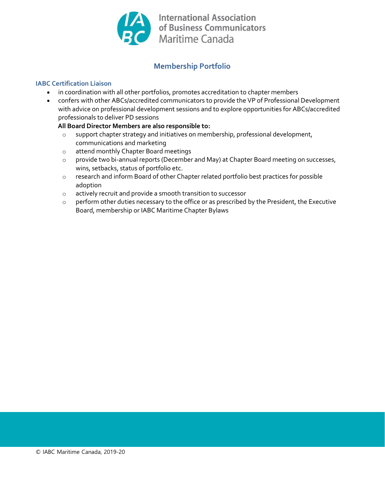

## Membership Portfolio

## IABC Certification Liaison

- in coordination with all other portfolios, promotes accreditation to chapter members
- confers with other ABCs/accredited communicators to provide the VP of Professional Development with advice on professional development sessions and to explore opportunities for ABCs/accredited professionals to deliver PD sessions

- o support chapter strategy and initiatives on membership, professional development, communications and marketing
- o attend monthly Chapter Board meetings
- o provide two bi-annual reports (December and May) at Chapter Board meeting on successes, wins, setbacks, status of portfolio etc.
- o research and inform Board of other Chapter related portfolio best practices for possible adoption
- o actively recruit and provide a smooth transition to successor
- o perform other duties necessary to the office or as prescribed by the President, the Executive Board, membership or IABC Maritime Chapter Bylaws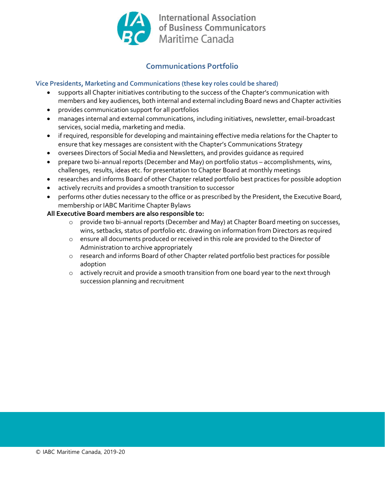

# Communications Portfolio

## Vice Presidents, Marketing and Communications (these key roles could be shared)

- supports all Chapter initiatives contributing to the success of the Chapter's communication with members and key audiences, both internal and external including Board news and Chapter activities
- provides communication support for all portfolios
- manages internal and external communications, including initiatives, newsletter, email-broadcast services, social media, marketing and media.
- if required, responsible for developing and maintaining effective media relations for the Chapter to ensure that key messages are consistent with the Chapter's Communications Strategy
- oversees Directors of Social Media and Newsletters, and provides guidance as required
- prepare two bi-annual reports (December and May) on portfolio status accomplishments, wins, challenges, results, ideas etc. for presentation to Chapter Board at monthly meetings
- researches and informs Board of other Chapter related portfolio best practices for possible adoption
- actively recruits and provides a smooth transition to successor
- performs other duties necessary to the office or as prescribed by the President, the Executive Board, membership or IABC Maritime Chapter Bylaws

- o provide two bi-annual reports (December and May) at Chapter Board meeting on successes, wins, setbacks, status of portfolio etc. drawing on information from Directors as required
- o ensure all documents produced or received in this role are provided to the Director of Administration to archive appropriately
- o research and informs Board of other Chapter related portfolio best practices for possible adoption
- $\circ$  actively recruit and provide a smooth transition from one board year to the next through succession planning and recruitment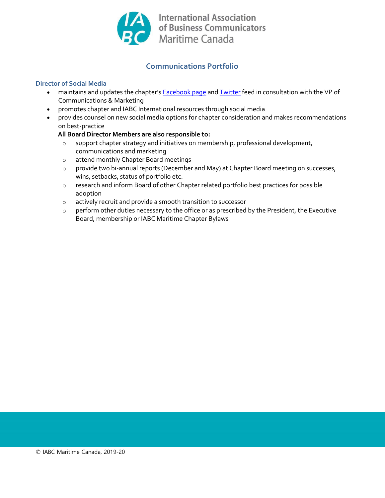

# Communications Portfolio

#### Director of Social Media

- maintains and updates the chapter's **Facebook page and Twitter** feed in consultation with the VP of Communications & Marketing
- promotes chapter and IABC International resources through social media
- provides counsel on new social media options for chapter consideration and makes recommendations on best-practice

- o support chapter strategy and initiatives on membership, professional development, communications and marketing
- o attend monthly Chapter Board meetings
- o provide two bi-annual reports (December and May) at Chapter Board meeting on successes, wins, setbacks, status of portfolio etc.
- o research and inform Board of other Chapter related portfolio best practices for possible adoption
- o actively recruit and provide a smooth transition to successor
- o perform other duties necessary to the office or as prescribed by the President, the Executive Board, membership or IABC Maritime Chapter Bylaws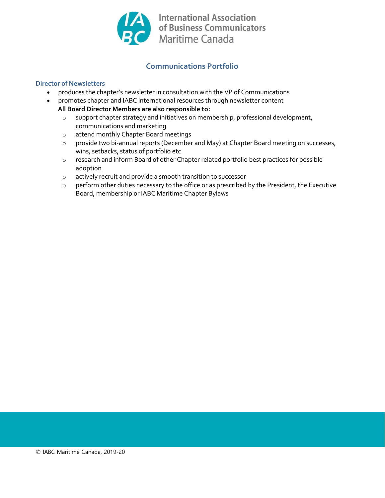

# Communications Portfolio

## Director of Newsletters

- produces the chapter's newsletter in consultation with the VP of Communications
- promotes chapter and IABC international resources through newsletter content
	- All Board Director Members are also responsible to:
		- o support chapter strategy and initiatives on membership, professional development, communications and marketing
		- o attend monthly Chapter Board meetings
		- o provide two bi-annual reports (December and May) at Chapter Board meeting on successes, wins, setbacks, status of portfolio etc.
		- o research and inform Board of other Chapter related portfolio best practices for possible adoption
		- o actively recruit and provide a smooth transition to successor
		- o perform other duties necessary to the office or as prescribed by the President, the Executive Board, membership or IABC Maritime Chapter Bylaws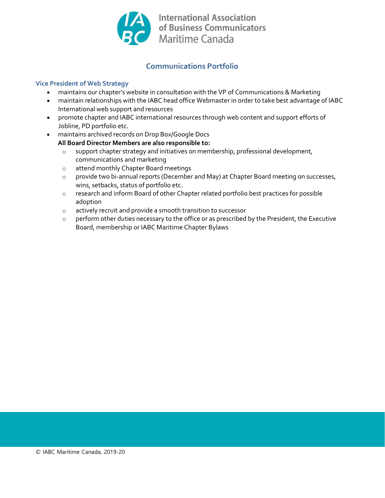

# Communications Portfolio

#### Vice President of Web Strategy

- maintains our chapter's website in consultation with the VP of Communications & Marketing
- maintain relationships with the IABC head office Webmaster in order to take best advantage of IABC International web support and resources
- promote chapter and IABC international resources through web content and support efforts of Jobline, PD portfolio etc.
- maintains archived records on Drop Box/Google Docs
	- All Board Director Members are also responsible to:
		- o support chapter strategy and initiatives on membership, professional development, communications and marketing
		- o attend monthly Chapter Board meetings
		- o provide two bi-annual reports (December and May) at Chapter Board meeting on successes, wins, setbacks, status of portfolio etc.
		- o research and inform Board of other Chapter related portfolio best practices for possible adoption
		- o actively recruit and provide a smooth transition to successor
		- o perform other duties necessary to the office or as prescribed by the President, the Executive Board, membership or IABC Maritime Chapter Bylaws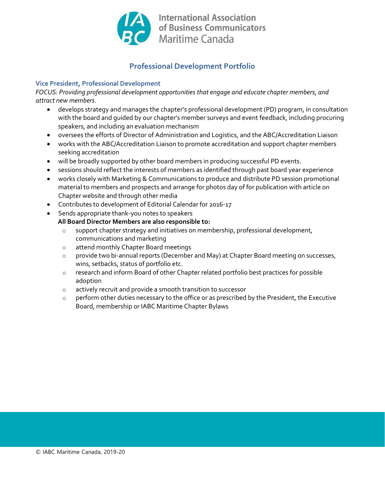

# Professional Development Portfolio

## Vice President, Professional Development

FOCUS: Providing professional development opportunities that engage and educate chapter members, and attract new members.

- develops strategy and manages the chapter's professional development (PD) program, in consultation with the board and guided by our chapter's member surveys and event feedback, including procuring speakers, and including an evaluation mechanism
- oversees the efforts of Director of Administration and Logistics, and the ABC/Accreditation Liaison
- works with the ABC/Accreditation Liaison to promote accreditation and support chapter members seeking accreditation
- will be broadly supported by other board members in producing successful PD events.
- sessions should reflect the interests of members as identified through past board year experience
- works closely with Marketing & Communications to produce and distribute PD session promotional material to members and prospects and arrange for photos day of for publication with article on Chapter website and through other media
- Contributes to development of Editorial Calendar for 2016-17
- Sends appropriate thank-you notes to speakers

- support chapter strategy and initiatives on membership, professional development, communications and marketing
- o attend monthly Chapter Board meetings
- o provide two bi-annual reports (December and May) at Chapter Board meeting on successes, wins, setbacks, status of portfolio etc.
- o research and inform Board of other Chapter related portfolio best practices for possible adoption
- o actively recruit and provide a smooth transition to successor
- o perform other duties necessary to the office or as prescribed by the President, the Executive Board, membership or IABC Maritime Chapter Bylaws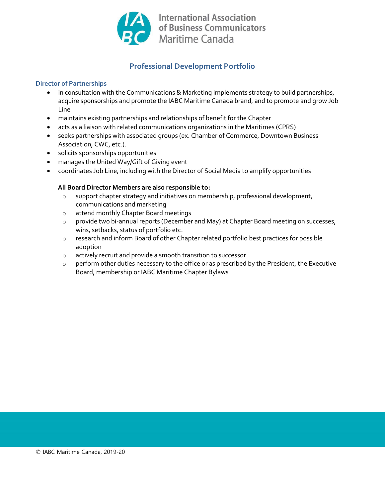

# Professional Development Portfolio

## Director of Partnerships

- in consultation with the Communications & Marketing implements strategy to build partnerships, acquire sponsorships and promote the IABC Maritime Canada brand, and to promote and grow Job Line
- maintains existing partnerships and relationships of benefit for the Chapter
- acts as a liaison with related communications organizations in the Maritimes (CPRS)
- seeks partnerships with associated groups (ex. Chamber of Commerce, Downtown Business Association, CWC, etc.).
- solicits sponsorships opportunities
- manages the United Way/Gift of Giving event
- coordinates Job Line, including with the Director of Social Media to amplify opportunities

- o support chapter strategy and initiatives on membership, professional development, communications and marketing
- o attend monthly Chapter Board meetings
- o provide two bi-annual reports (December and May) at Chapter Board meeting on successes, wins, setbacks, status of portfolio etc.
- o research and inform Board of other Chapter related portfolio best practices for possible adoption
- o actively recruit and provide a smooth transition to successor
- $\circ$  perform other duties necessary to the office or as prescribed by the President, the Executive Board, membership or IABC Maritime Chapter Bylaws